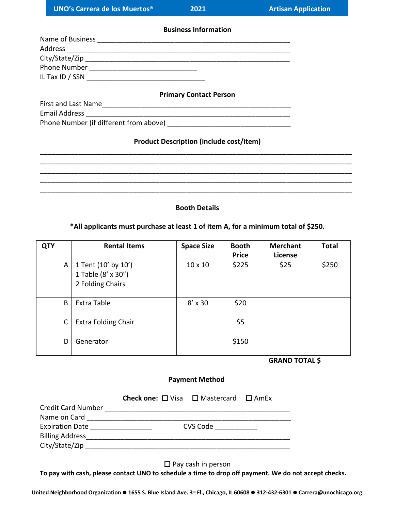**Business Information**

| Name of Business |  |
|------------------|--|
| Address          |  |
| City/State/Zip   |  |
| Phone Number     |  |
| IL Tax ID / SSN  |  |
|                  |  |

#### **Primary Contact Person**

| First and Last Name  |   |  |  |  |  |
|----------------------|---|--|--|--|--|
| <b>Email Address</b> |   |  |  |  |  |
|                      | . |  |  |  |  |

Phone Number (if different from above) \_\_\_\_\_\_\_\_\_\_\_\_\_\_\_\_\_\_\_\_\_\_\_\_\_\_\_\_\_\_\_\_

# **Product Description (include cost/item)**

# **Booth Details**

### **\*All applicants must purchase at least 1 of item A, for a minimum total of \$250.**

| <b>QTY</b> |              | <b>Rental Items</b>                                           | <b>Space Size</b> | <b>Booth</b><br><b>Price</b> | <b>Merchant</b><br>License | <b>Total</b> |
|------------|--------------|---------------------------------------------------------------|-------------------|------------------------------|----------------------------|--------------|
|            | A            | 1 Tent (10' by 10')<br>1 Table (8' x 30")<br>2 Folding Chairs | $10 \times 10$    | \$225                        | \$25                       | \$250        |
|            | B            | Extra Table                                                   | $8'$ x 30         | \$20                         |                            |              |
|            | $\mathsf{C}$ | <b>Extra Folding Chair</b>                                    |                   | \$5                          |                            |              |
|            | D            | Generator                                                     |                   | \$150                        |                            |              |

 **GRAND TOTAL \$**

### **Payment Method**

|                           | <b>Check one:</b> $\Box$ Visa $\Box$ Mastercard $\Box$ AmEx |                        |  |
|---------------------------|-------------------------------------------------------------|------------------------|--|
| <b>Credit Card Number</b> |                                                             |                        |  |
| Name on Card              |                                                             |                        |  |
| <b>Expiration Date</b>    |                                                             | CVS Code <b>COVID-</b> |  |
| <b>Billing Address</b>    |                                                             |                        |  |
| City/State/Zip            |                                                             |                        |  |

 $\square$  Pay cash in person

**To pay with cash, please contact UNO to schedule a time to drop off payment. We do not accept checks.**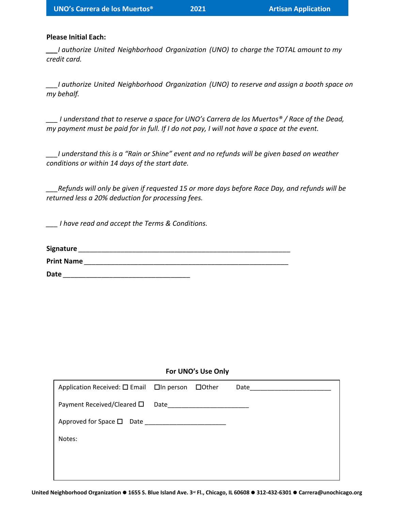### **Please Initial Each:**

*\_\_\_I authorize United Neighborhood Organization (UNO) to charge the TOTAL amount to my credit card.*

*\_\_\_I authorize United Neighborhood Organization (UNO) to reserve and assign a booth space on my behalf.*

*\_\_\_ I understand that to reserve a space for UNO's Carrera de los Muertos® / Race of the Dead, my payment must be paid for in full. If I do not pay, I will not have a space at the event.*

*\_\_\_I understand this is a "Rain or Shine" event and no refunds will be given based on weather conditions or within 14 days of the start date.*

*\_\_\_Refunds will only be given if requested 15 or more days before Race Day, and refunds will be returned less a 20% deduction for processing fees.*

*\_\_\_ I have read and accept the Terms & Conditions.*

| Signature         |  |  |  |
|-------------------|--|--|--|
| <b>Print Name</b> |  |  |  |

**Date** *\_\_\_\_\_\_\_\_\_\_\_\_\_\_\_\_\_\_\_\_\_\_\_\_\_\_\_\_\_\_\_\_\_*

### **For UNO's Use Only**

| Application Received: □ Email □ In person □ Other |  | Date |
|---------------------------------------------------|--|------|
| Payment Received/Cleared $\square$ Date           |  |      |
|                                                   |  |      |
| Notes:                                            |  |      |
|                                                   |  |      |
|                                                   |  |      |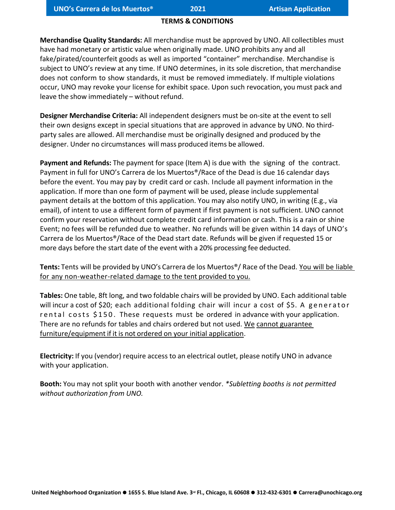## **TERMS & CONDITIONS**

**Merchandise Quality Standards:** All merchandise must be approved by UNO. All collectibles must have had monetary or artistic value when originally made. UNO prohibits any and all fake/pirated/counterfeit goods as well as imported "container" merchandise. Merchandise is subject to UNO's review at any time. If UNO determines, in its sole discretion, that merchandise does not conform to show standards, it must be removed immediately. If multiple violations occur, UNO may revoke your license for exhibit space. Upon such revocation, you must pack and leave the show immediately – without refund.

**Designer Merchandise Criteria:** All independent designers must be on-site at the event to sell their own designs except in special situations that are approved in advance by UNO. No thirdparty sales are allowed. All merchandise must be originally designed and produced by the designer. Under no circumstances will mass produced items be allowed.

**Payment and Refunds:** The payment for space (Item A) is due with the signing of the contract. Payment in full for UNO's Carrera de los Muertos®/Race of the Dead is due 16 calendar days before the event. You may pay by credit card or cash. Include all payment information in the application. If more than one form of payment will be used, please include supplemental payment details at the bottom of this application. You may also notify UNO, in writing (E.g., via email), of intent to use a different form of payment if first payment is not sufficient. UNO cannot confirm your reservation without complete credit card information or cash. This is a rain or shine Event; no fees will be refunded due to weather. No refunds will be given within 14 days of UNO's Carrera de los Muertos®/Race of the Dead start date. Refunds will be given if requested 15 or more days before the start date of the event with a 20% processing fee deducted.

**Tents:** Tents will be provided by UNO's Carrera de los Muertos®/ Race of the Dead. You will be liable for any non-weather-related damage to the tent provided to you.

**Tables:** One table, 8ft long, and two foldable chairs will be provided by UNO. Each additional table will incur a cost of \$20; each additional folding chair will incur a cost of \$5. A generator r e ntal costs \$150. These requests must be ordered in advance with your application. There are no refunds for tables and chairs ordered but not used. We cannot guarantee furniture/equipment if it is not ordered on your initial application.

**Electricity:** If you (vendor) require access to an electrical outlet, please notify UNO in advance with your application.

**Booth:** You may not split your booth with another vendor. *\*Subletting booths is not permitted without authorization from UNO.*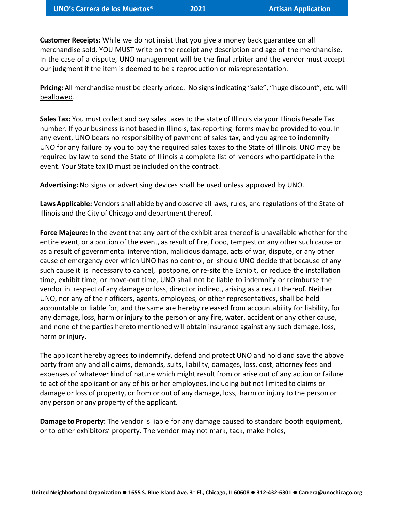**Customer Receipts:** While we do not insist that you give a money back guarantee on all merchandise sold, YOU MUST write on the receipt any description and age of the merchandise. In the case of a dispute, UNO management will be the final arbiter and the vendor must accept our judgment if the item is deemed to be a reproduction or misrepresentation.

**Pricing:** All merchandise must be clearly priced. No signs indicating "sale", "huge discount", etc. will beallowed.

**Sales Tax:** You must collect and pay sales taxes to the state of Illinois via your Illinois Resale Tax number. If your business is not based in Illinois, tax-reporting forms may be provided to you. In any event, UNO bears no responsibility of payment of sales tax, and you agree to indemnify UNO for any failure by you to pay the required sales taxes to the State of Illinois. UNO may be required by law to send the State of Illinois a complete list of vendors who participate in the event. Your State tax ID must be included on the contract.

**Advertising:** No signs or advertising devices shall be used unless approved by UNO.

**Laws Applicable:** Vendors shall abide by and observe all laws, rules, and regulations of the State of Illinois and the City of Chicago and department thereof.

**Force Majeure:** In the event that any part of the exhibit area thereof is unavailable whether for the entire event, or a portion of the event, as result of fire, flood, tempest or any other such cause or as a result of governmental intervention, malicious damage, acts of war, dispute, or any other cause of emergency over which UNO has no control, or should UNO decide that because of any such cause it is necessary to cancel, postpone, or re-site the Exhibit, or reduce the installation time, exhibit time, or move-out time, UNO shall not be liable to indemnify or reimburse the vendor in respect of any damage or loss, direct or indirect, arising as a result thereof. Neither UNO, nor any of their officers, agents, employees, or other representatives, shall be held accountable or liable for, and the same are hereby released from accountability for liability, for any damage, loss, harm or injury to the person or any fire, water, accident or any other cause, and none of the parties hereto mentioned will obtain insurance against any such damage, loss, harm or injury.

The applicant hereby agrees to indemnify, defend and protect UNO and hold and save the above party from any and all claims, demands, suits, liability, damages, loss, cost, attorney fees and expenses of whatever kind of nature which might result from or arise out of any action or failure to act of the applicant or any of his or her employees, including but not limited to claims or damage or loss of property, or from or out of any damage, loss, harm or injury to the person or any person or any property of the applicant.

**Damage to Property:** The vendor is liable for any damage caused to standard booth equipment, or to other exhibitors' property. The vendor may not mark, tack, make holes,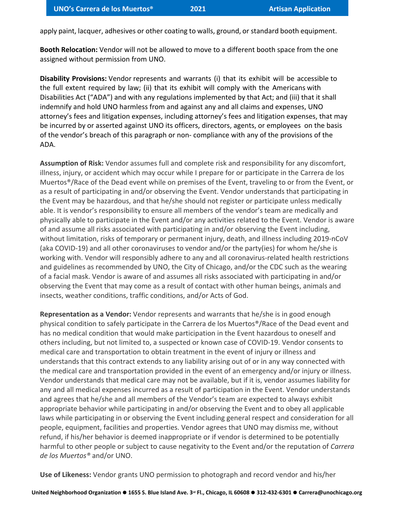apply paint, lacquer, adhesives or other coating to walls, ground, or standard booth equipment.

**Booth Relocation:** Vendor will not be allowed to move to a different booth space from the one assigned without permission from UNO.

**Disability Provisions:** Vendor represents and warrants (i) that its exhibit will be accessible to the full extent required by law; (ii) that its exhibit will comply with the Americans with Disabilities Act ("ADA") and with any regulations implemented by that Act; and (iii) that it shall indemnify and hold UNO harmless from and against any and all claims and expenses, UNO attorney's fees and litigation expenses, including attorney's fees and litigation expenses, that may be incurred by or asserted against UNO its officers, directors, agents, or employees on the basis of the vendor's breach of this paragraph or non- compliance with any of the provisions of the ADA.

**Assumption of Risk:** Vendor assumes full and complete risk and responsibility for any discomfort, illness, injury, or accident which may occur while I prepare for or participate in the Carrera de los Muertos®/Race of the Dead event while on premises of the Event, traveling to or from the Event, or as a result of participating in and/or observing the Event. Vendor understands that participating in the Event may be hazardous, and that he/she should not register or participate unless medically able. It is vendor's responsibility to ensure all members of the vendor's team are medically and physically able to participate in the Event and/or any activities related to the Event. Vendor is aware of and assume all risks associated with participating in and/or observing the Event including, without limitation, risks of temporary or permanent injury, death, and illness including 2019-nCoV (aka COVID-19) and all other coronaviruses to vendor and/or the party(ies) for whom he/she is working with. Vendor will responsibly adhere to any and all coronavirus-related health restrictions and guidelines as recommended by UNO, the City of Chicago, and/or the CDC such as the wearing of a facial mask. Vendor is aware of and assumes all risks associated with participating in and/or observing the Event that may come as a result of contact with other human beings, animals and insects, weather conditions, traffic conditions, and/or Acts of God.

**Representation as a Vendor:** Vendor represents and warrants that he/she is in good enough physical condition to safely participate in the Carrera de los Muertos®/Race of the Dead event and has no medical condition that would make participation in the Event hazardous to oneself and others including, but not limited to, a suspected or known case of COVID-19. Vendor consents to medical care and transportation to obtain treatment in the event of injury or illness and understands that this contract extends to any liability arising out of or in any way connected with the medical care and transportation provided in the event of an emergency and/or injury or illness. Vendor understands that medical care may not be available, but if it is, vendor assumes liability for any and all medical expenses incurred as a result of participation in the Event. Vendor understands and agrees that he/she and all members of the Vendor's team are expected to always exhibit appropriate behavior while participating in and/or observing the Event and to obey all applicable laws while participating in or observing the Event including general respect and consideration for all people, equipment, facilities and properties. Vendor agrees that UNO may dismiss me, without refund, if his/her behavior is deemed inappropriate or if vendor is determined to be potentially harmful to other people or subject to cause negativity to the Event and/or the reputation of *Carrera de los Muertos®* and/or UNO.

**Use of Likeness:** Vendor grants UNO permission to photograph and record vendor and his/her